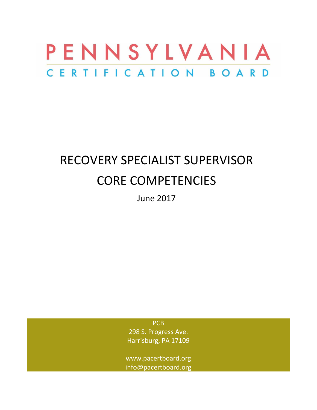

# RECOVERY SPECIALIST SUPERVISOR CORE COMPETENCIES

June 2017

PC<sub>B</sub> 298 S. Progress Ave. Harrisburg, PA 17109

www.pacertboard.org info@pacertboard.org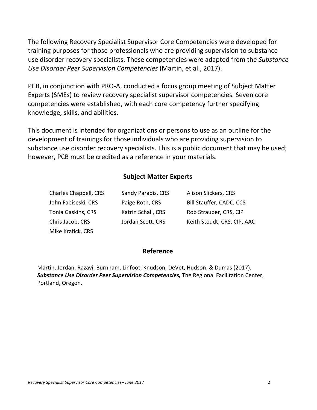The following Recovery Specialist Supervisor Core Competencies were developed for training purposes for those professionals who are providing supervision to substance use disorder recovery specialists. These competencies were adapted from the *Substance Use Disorder Peer Supervision Competencies* (Martin, et al., 2017).

PCB, in conjunction with PRO-A, conducted a focus group meeting of Subject Matter Experts (SMEs) to review recovery specialist supervisor competencies. Seven core competencies were established, with each core competency further specifying knowledge, skills, and abilities.

This document is intended for organizations or persons to use as an outline for the development of trainings for those individuals who are providing supervision to substance use disorder recovery specialists. This is a public document that may be used; however, PCB must be credited as a reference in your materials.

#### **Subject Matter Experts**

| Charles Chappell, CRS | Sandy Paradis, CRS | Alison Slickers, CRS        |
|-----------------------|--------------------|-----------------------------|
| John Fabiseski, CRS   | Paige Roth, CRS    | Bill Stauffer, CADC, CCS    |
| Tonia Gaskins, CRS    | Katrin Schall, CRS | Rob Strauber, CRS, CIP      |
| Chris Jacob, CRS      | Jordan Scott, CRS  | Keith Stoudt, CRS, CIP, AAC |
| Mike Krafick, CRS     |                    |                             |

#### **Reference**

Martin, Jordan, Razavi, Burnham, Linfoot, Knudson, DeVet, Hudson, & Dumas (2017). *Substance Use Disorder Peer Supervision Competencies,* The Regional Facilitation Center, Portland, Oregon.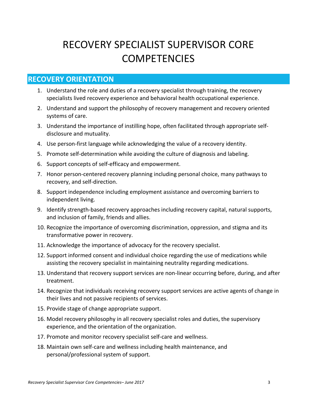# RECOVERY SPECIALIST SUPERVISOR CORE **COMPETENCIES**

#### **RECOVERY ORIENTATION**

- 1. Understand the role and duties of a recovery specialist through training, the recovery specialists lived recovery experience and behavioral health occupational experience.
- 2. Understand and support the philosophy of recovery management and recovery oriented systems of care.
- 3. Understand the importance of instilling hope, often facilitated through appropriate self‐ disclosure and mutuality.
- 4. Use person‐first language while acknowledging the value of a recovery identity.
- 5. Promote self-determination while avoiding the culture of diagnosis and labeling.
- 6. Support concepts of self‐efficacy and empowerment.
- 7. Honor person‐centered recovery planning including personal choice, many pathways to recovery, and self‐direction.
- 8. Support independence including employment assistance and overcoming barriers to independent living.
- 9. Identify strength‐based recovery approaches including recovery capital, natural supports, and inclusion of family, friends and allies.
- 10. Recognize the importance of overcoming discrimination, oppression, and stigma and its transformative power in recovery.
- 11. Acknowledge the importance of advocacy for the recovery specialist.
- 12. Support informed consent and individual choice regarding the use of medications while assisting the recovery specialist in maintaining neutrality regarding medications.
- 13. Understand that recovery support services are non-linear occurring before, during, and after treatment.
- 14. Recognize that individuals receiving recovery support services are active agents of change in their lives and not passive recipients of services.
- 15. Provide stage of change appropriate support.
- 16. Model recovery philosophy in all recovery specialist roles and duties, the supervisory experience, and the orientation of the organization.
- 17. Promote and monitor recovery specialist self‐care and wellness.
- 18. Maintain own self-care and wellness including health maintenance, and personal/professional system of support.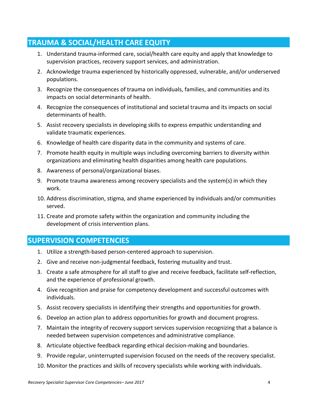### **TRAUMA & SOCIAL/HEALTH CARE EQUITY**

- 1. Understand trauma‐informed care, social/health care equity and apply that knowledge to supervision practices, recovery support services, and administration.
- 2. Acknowledge trauma experienced by historically oppressed, vulnerable, and/or underserved populations.
- 3. Recognize the consequences of trauma on individuals, families, and communities and its impacts on social determinants of health.
- 4. Recognize the consequences of institutional and societal trauma and its impacts on social determinants of health.
- 5. Assist recovery specialists in developing skills to express empathic understanding and validate traumatic experiences.
- 6. Knowledge of health care disparity data in the community and systems of care.
- 7. Promote health equity in multiple ways including overcoming barriers to diversity within organizations and eliminating health disparities among health care populations.
- 8. Awareness of personal/organizational biases.
- 9. Promote trauma awareness among recovery specialists and the system(s) in which they work.
- 10. Address discrimination, stigma, and shame experienced by individuals and/or communities served.
- 11. Create and promote safety within the organization and community including the development of crisis intervention plans.

#### **SUPERVISION COMPETENCIES**

- 1. Utilize a strength‐based person‐centered approach to supervision.
- 2. Give and receive non-judgmental feedback, fostering mutuality and trust.
- 3. Create a safe atmosphere for all staff to give and receive feedback, facilitate self‐reflection, and the experience of professional growth.
- 4. Give recognition and praise for competency development and successful outcomes with individuals.
- 5. Assist recovery specialists in identifying their strengths and opportunities for growth.
- 6. Develop an action plan to address opportunities for growth and document progress.
- 7. Maintain the integrity of recovery support services supervision recognizing that a balance is needed between supervision competences and administrative compliance.
- 8. Articulate objective feedback regarding ethical decision‐making and boundaries.
- 9. Provide regular, uninterrupted supervision focused on the needs of the recovery specialist.
- 10. Monitor the practices and skills of recovery specialists while working with individuals.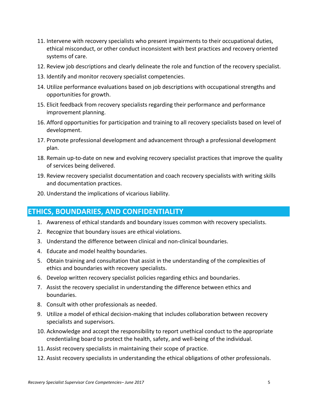- 11. Intervene with recovery specialists who present impairments to their occupational duties, ethical misconduct, or other conduct inconsistent with best practices and recovery oriented systems of care.
- 12. Review job descriptions and clearly delineate the role and function of the recovery specialist.
- 13. Identify and monitor recovery specialist competencies.
- 14. Utilize performance evaluations based on job descriptions with occupational strengths and opportunities for growth.
- 15. Elicit feedback from recovery specialists regarding their performance and performance improvement planning.
- 16. Afford opportunities for participation and training to all recovery specialists based on level of development.
- 17. Promote professional development and advancement through a professional development plan.
- 18. Remain up-to-date on new and evolving recovery specialist practices that improve the quality of services being delivered.
- 19. Review recovery specialist documentation and coach recovery specialists with writing skills and documentation practices.
- 20. Understand the implications of vicarious liability.

#### **ETHICS, BOUNDARIES, AND CONFIDENTIALITY**

- 1. Awareness of ethical standards and boundary issues common with recovery specialists.
- 2. Recognize that boundary issues are ethical violations.
- 3. Understand the difference between clinical and non‐clinical boundaries.
- 4. Educate and model healthy boundaries.
- 5. Obtain training and consultation that assist in the understanding of the complexities of ethics and boundaries with recovery specialists.
- 6. Develop written recovery specialist policies regarding ethics and boundaries.
- 7. Assist the recovery specialist in understanding the difference between ethics and boundaries.
- 8. Consult with other professionals as needed.
- 9. Utilize a model of ethical decision-making that includes collaboration between recovery specialists and supervisors.
- 10. Acknowledge and accept the responsibility to report unethical conduct to the appropriate credentialing board to protect the health, safety, and well-being of the individual.
- 11. Assist recovery specialists in maintaining their scope of practice.
- 12. Assist recovery specialists in understanding the ethical obligations of other professionals.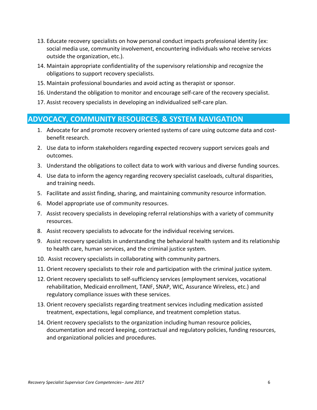- 13. Educate recovery specialists on how personal conduct impacts professional identity (ex: social media use, community involvement, encountering individuals who receive services outside the organization, etc.).
- 14. Maintain appropriate confidentiality of the supervisory relationship and recognize the obligations to support recovery specialists.
- 15. Maintain professional boundaries and avoid acting as therapist or sponsor.
- 16. Understand the obligation to monitor and encourage self‐care of the recovery specialist.
- 17. Assist recovery specialists in developing an individualized self‐care plan.

#### **ADVOCACY, COMMUNITY RESOURCES, & SYSTEM NAVIGATION**

- 1. Advocate for and promote recovery oriented systems of care using outcome data and cost‐ benefit research.
- 2. Use data to inform stakeholders regarding expected recovery support services goals and outcomes.
- 3. Understand the obligations to collect data to work with various and diverse funding sources.
- 4. Use data to inform the agency regarding recovery specialist caseloads, cultural disparities, and training needs.
- 5. Facilitate and assist finding, sharing, and maintaining community resource information.
- 6. Model appropriate use of community resources.
- 7. Assist recovery specialists in developing referral relationships with a variety of community resources.
- 8. Assist recovery specialists to advocate for the individual receiving services.
- 9. Assist recovery specialists in understanding the behavioral health system and its relationship to health care, human services, and the criminal justice system.
- 10. Assist recovery specialists in collaborating with community partners.
- 11. Orient recovery specialists to their role and participation with the criminal justice system.
- 12. Orient recovery specialists to self-sufficiency services (employment services, vocational rehabilitation, Medicaid enrollment, TANF, SNAP, WIC, Assurance Wireless, etc.) and regulatory compliance issues with these services.
- 13. Orient recovery specialists regarding treatment services including medication assisted treatment, expectations, legal compliance, and treatment completion status.
- 14. Orient recovery specialists to the organization including human resource policies, documentation and record keeping, contractual and regulatory policies, funding resources, and organizational policies and procedures.